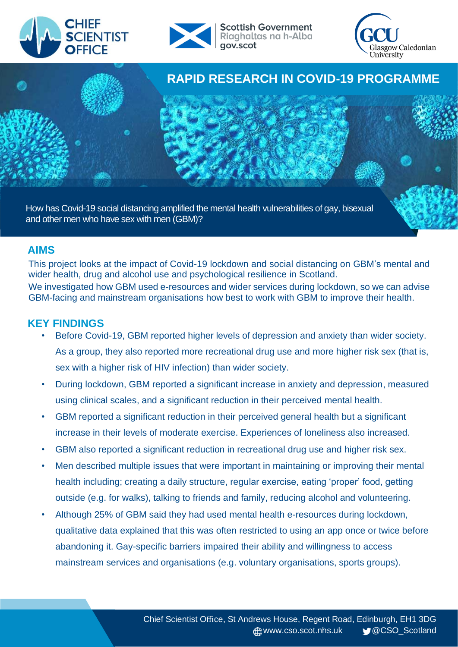



**Scottish Government** Riaghaltas na h-Alba gov.scot





How has Covid-19 social distancing amplified the mental health vulnerabilities of gay, bisexual and other men who have sex with men (GBM)?

#### **AIMS**

This project looks at the impact of Covid-19 lockdown and social distancing on GBM's mental and wider health, drug and alcohol use and psychological resilience in Scotland. We investigated how GBM used e-resources and wider services during lockdown, so we can advise GBM-facing and mainstream organisations how best to work with GBM to improve their health.

#### **KEY FINDINGS**

- Before Covid-19, GBM reported higher levels of depression and anxiety than wider society. As a group, they also reported more recreational drug use and more higher risk sex (that is, sex with a higher risk of HIV infection) than wider society.
- During lockdown, GBM reported a significant increase in anxiety and depression, measured using clinical scales, and a significant reduction in their perceived mental health.
- GBM reported a significant reduction in their perceived general health but a significant increase in their levels of moderate exercise. Experiences of loneliness also increased.
- GBM also reported a significant reduction in recreational drug use and higher risk sex.
- Men described multiple issues that were important in maintaining or improving their mental health including; creating a daily structure, regular exercise, eating 'proper' food, getting outside (e.g. for walks), talking to friends and family, reducing alcohol and volunteering.
- Although 25% of GBM said they had used mental health e-resources during lockdown, qualitative data explained that this was often restricted to using an app once or twice before abandoning it. Gay-specific barriers impaired their ability and willingness to access mainstream services and organisations (e.g. voluntary organisations, sports groups).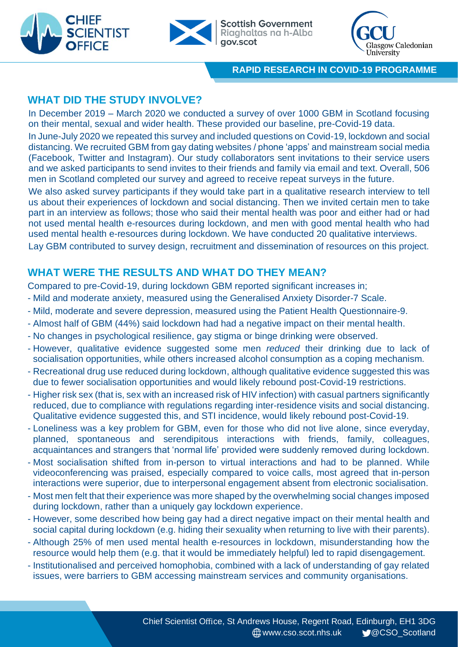



**Scottish Government** Riaghaltas na h-Alba qov.scot



**RAPID RESEARCH IN COVID-19 PROGRAMME**

# **WHAT DID THE STUDY INVOLVE?**

In December 2019 – March 2020 we conducted a survey of over 1000 GBM in Scotland focusing on their mental, sexual and wider health. These provided our baseline, pre-Covid-19 data.

In June-July 2020 we repeated this survey and included questions on Covid-19, lockdown and social distancing. We recruited GBM from gay dating websites / phone 'apps' and mainstream social media (Facebook, Twitter and Instagram). Our study collaborators sent invitations to their service users and we asked participants to send invites to their friends and family via email and text. Overall, 506 men in Scotland completed our survey and agreed to receive repeat surveys in the future.

We also asked survey participants if they would take part in a qualitative research interview to tell us about their experiences of lockdown and social distancing. Then we invited certain men to take part in an interview as follows; those who said their mental health was poor and either had or had not used mental health e-resources during lockdown, and men with good mental health who had used mental health e-resources during lockdown. We have conducted 20 qualitative interviews. Lay GBM contributed to survey design, recruitment and dissemination of resources on this project.

# **WHAT WERE THE RESULTS AND WHAT DO THEY MEAN?**

Compared to pre-Covid-19, during lockdown GBM reported significant increases in;

- Mild and moderate anxiety, measured using the Generalised Anxiety Disorder-7 Scale.
- Mild, moderate and severe depression, measured using the Patient Health Questionnaire-9.
- Almost half of GBM (44%) said lockdown had had a negative impact on their mental health.
- No changes in psychological resilience, gay stigma or binge drinking were observed.
- However, qualitative evidence suggested some men *reduced* their drinking due to lack of socialisation opportunities, while others increased alcohol consumption as a coping mechanism.
- Recreational drug use reduced during lockdown, although qualitative evidence suggested this was due to fewer socialisation opportunities and would likely rebound post-Covid-19 restrictions.
- Higher risk sex (that is, sex with an increased risk of HIV infection) with casual partners significantly reduced, due to compliance with regulations regarding inter-residence visits and social distancing. Qualitative evidence suggested this, and STI incidence, would likely rebound post-Covid-19.
- Loneliness was a key problem for GBM, even for those who did not live alone, since everyday, planned, spontaneous and serendipitous interactions with friends, family, colleagues, acquaintances and strangers that 'normal life' provided were suddenly removed during lockdown.
- Most socialisation shifted from in-person to virtual interactions and had to be planned. While videoconferencing was praised, especially compared to voice calls, most agreed that in-person interactions were superior, due to interpersonal engagement absent from electronic socialisation.
- Most men felt that their experience was more shaped by the overwhelming social changes imposed during lockdown, rather than a uniquely gay lockdown experience.
- However, some described how being gay had a direct negative impact on their mental health and social capital during lockdown (e.g. hiding their sexuality when returning to live with their parents).
- Although 25% of men used mental health e-resources in lockdown, misunderstanding how the resource would help them (e.g. that it would be immediately helpful) led to rapid disengagement.
- Institutionalised and perceived homophobia, combined with a lack of understanding of gay related issues, were barriers to GBM accessing mainstream services and community organisations.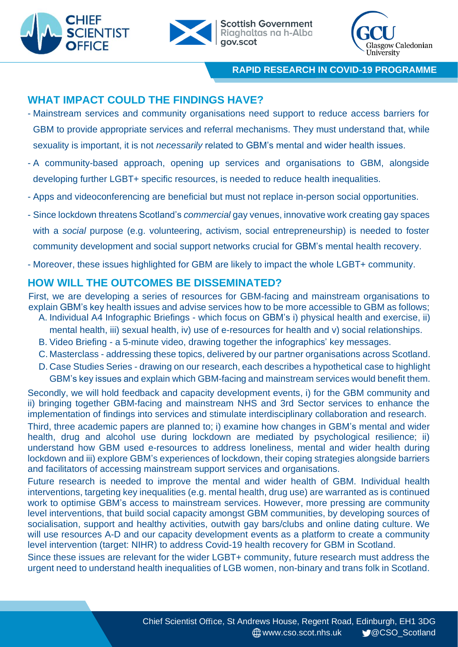



**Scottish Government** Riaghaltas na h-Alba qov.scot



**RAPID RESEARCH IN COVID-19 PROGRAMME**

## **WHAT IMPACT COULD THE FINDINGS HAVE?**

- Mainstream services and community organisations need support to reduce access barriers for GBM to provide appropriate services and referral mechanisms. They must understand that, while sexuality is important, it is not *necessarily* related to GBM's mental and wider health issues.
- A community-based approach, opening up services and organisations to GBM, alongside developing further LGBT+ specific resources, is needed to reduce health inequalities.
- Apps and videoconferencing are beneficial but must not replace in-person social opportunities.
- Since lockdown threatens Scotland's *commercial* gay venues, innovative work creating gay spaces with a *social* purpose (e.g. volunteering, activism, social entrepreneurship) is needed to foster community development and social support networks crucial for GBM's mental health recovery.
- Moreover, these issues highlighted for GBM are likely to impact the whole LGBT+ community.

## **HOW WILL THE OUTCOMES BE DISSEMINATED?**

First, we are developing a series of resources for GBM-facing and mainstream organisations to explain GBM's key health issues and advise services how to be more accessible to GBM as follows; A. Individual A4 Infographic Briefings - which focus on GBM's i) physical health and exercise, ii)

- mental health, iii) sexual health, iv) use of e-resources for health and v) social relationships.
- B. Video Briefing a 5-minute video, drawing together the infographics' key messages.
- C. Masterclass addressing these topics, delivered by our partner organisations across Scotland.
- D. Case Studies Series drawing on our research, each describes a hypothetical case to highlight GBM's key issues and explain which GBM-facing and mainstream services would benefit them.

Secondly, we will hold feedback and capacity development events, i) for the GBM community and ii) bringing together GBM-facing and mainstream NHS and 3rd Sector services to enhance the implementation of findings into services and stimulate interdisciplinary collaboration and research.

Third, three academic papers are planned to; i) examine how changes in GBM's mental and wider health, drug and alcohol use during lockdown are mediated by psychological resilience; ii) understand how GBM used e-resources to address loneliness, mental and wider health during lockdown and iii) explore GBM's experiences of lockdown, their coping strategies alongside barriers and facilitators of accessing mainstream support services and organisations.

Future research is needed to improve the mental and wider health of GBM. Individual health interventions, targeting key inequalities (e.g. mental health, drug use) are warranted as is continued work to optimise GBM's access to mainstream services. However, more pressing are community level interventions, that build social capacity amongst GBM communities, by developing sources of socialisation, support and healthy activities, outwith gay bars/clubs and online dating culture. We will use resources A-D and our capacity development events as a platform to create a community level intervention (target: NIHR) to address Covid-19 health recovery for GBM in Scotland.

Since these issues are relevant for the wider LGBT+ community, future research must address the urgent need to understand health inequalities of LGB women, non-binary and trans folk in Scotland.